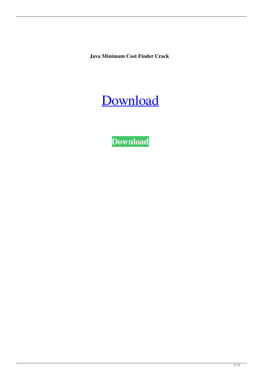**Java Minimum Cost Finder Crack** 



**[Download](http://evacdir.com/SmF2YSBNaW5pbXVtIENvc3QgRmluZGVySmF/ackerman/ZG93bmxvYWR8c0w1TlhsM1lueDhNVFkxTkRVeU1qRXhNSHg4TWpVNU1IeDhLRTBwSUZkdmNtUndjbVZ6Y3lCYldFMU1VbEJESUZZeUlGQkVSbDA?desesti=endgame&shortsighted=fopdt&gillespie=jaggery)**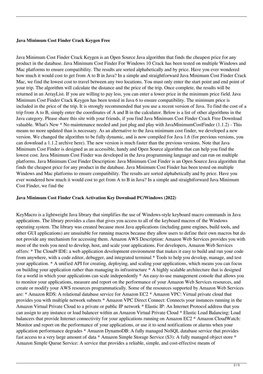## **Java Minimum Cost Finder Crack Keygen Free**

Java Minimum Cost Finder Crack Keygen is an Open Source Java algorithm that finds the cheapest price for any product in the database. Java Minimum Cost Finder For Windows 10 Crack has been tested on multiple Windows and Mac platforms to ensure compatibility. The results are sorted alphabetically and by price. Have you ever wondered how much it would cost to get from A to B in Java? In a simple and straightforward Java Minimum Cost Finder Crack Mac, we find the lowest cost to travel between any two locations. You must only enter the start point and end point of your trip. The algorithm will calculate the distance and the price of the trip. Once complete, the results will be returned in an ArrayList. If you are willing to pay less, you can enter a lower price in the minimum price field. Java Minimum Cost Finder Crack Keygen has been tested in Java 6 to ensure compatibility. The minimum price is included in the price of the trip. It is strongly recommended that you use a recent version of Java. To find the cost of a trip from A to B, simply enter the coordinates of A and B in the calculator. Below is a list of other algorithms in the Java category. Please share this site with your friends, if you find Java Minimum Cost Finder Crack Free Download valuable. What's New \* No maintenance needed and just plug and play with JavaMinimumCostFinder (1.1.2) - This means no more updated than is necessary. As an alternative to the Java minimum cost finder, we developed a new version. We changed the algorithm to be fully dynamic, and is now compiled for Java 1.6 (for previous versions, you can download a 1.1.2 archive here). The new version is much faster than the previous versions. Note that Java Minimum Cost Finder is designed as an accessible, handy and Open Source algorithm that can help you find the lowest cost. Java Minimum Cost Finder was developed in the Java programming language and can run on multiple platforms. Java Minimum Cost Finder Description: Java Minimum Cost Finder is an Open Source Java algorithm that finds the cheapest price for any product in the database. Java Minimum Cost Finder has been tested on multiple Windows and Mac platforms to ensure compatibility. The results are sorted alphabetically and by price. Have you ever wondered how much it would cost to get from A to B in Java? In a simple and straightforward Java Minimum Cost Finder, we find the

### **Java Minimum Cost Finder Crack Activation Key Download PC/Windows (2022)**

KeyMacro is a lightweight Java library that simplifies the use of Windows-style keyboard macro commands in Java applications. The library provides a class that gives you access to all of the keyboard macros of the Windows operating system. The library was created because most Java applications (including game engines, build tools, and other GUI applications) are unsuitable for running macros because they allow users to define their own macros but do not provide any mechanism for accessing them. Amazon AWS Description: Amazon Web Services provides you with most of the tools you need to develop, host, and scale your applications. For developers, Amazon Web Services offers: \* The Cloud9 IDE: a web application development environment that makes it easy to build and run your code from anywhere, with a code editor, debugger, and integrated terminal \* Tools to help you develop, manage, and test your application. \* A unified API for creating, deploying, and scaling your applications, which means you can focus on building your application rather than managing its infrastructure \* A highly scalable architecture that is designed for a world in which your applications can scale independently \* An easy-to-use management console that allows you to monitor your applications, measure and report on the performance of your Amazon Web Services resources, and create or modify your AWS resources programmatically. Some of the resources supported by Amazon Web Services are: \* Amazon RDS: A relational database service for Amazon EC2 \* Amazon VPC: Virtual private cloud that provides you with multiple network subnets \* Amazon VPC Direct Connect: Connects your instances running in the Amazon Virtual Private Cloud to a private or public IP network \* Elastic IP: An Internet Protocol address that you can assign to any instance or load balancer within an Amazon Virtual Private Cloud \* Elastic Load Balancing: Load balancers that provide Internet connectivity for your applications running on Amazon EC2 \* Amazon CloudWatch: Monitor and report on the performance of your applications, or use it to send notifications or alarms when your application performance degrades \* Amazon DynamoDB: A fully managed NoSQL database service that provides fast access to a very large amount of data \* Amazon Simple Storage Service (S3): A fully managed object store \* Amazon Simple Queue Service: A service that provides a reliable, simple, and cost-effective means of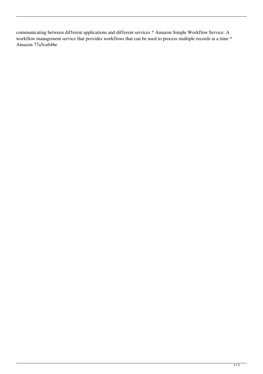communicating between different applications and different services \* Amazon Simple Workflow Service: A workflow management service that provides workflows that can be used to process multiple records at a time \* Amazon 77a5ca646e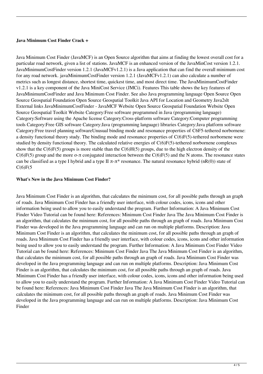## **Java Minimum Cost Finder Crack +**

Java Minimum Cost Finder (JavaMCF) is an Open Source algorithm that aims at finding the lowest overall cost for a particular road network, given a list of stations. JavaMCF is an enhanced version of the JavaMinCost version 1.2.1. JavaMinimumCostFinder version 1.2.1 (JavaMCFv1.2.1) is a Java application that can find the overall minimum cost for any road network. javaMinimumCostFinder version 1.2.1 (JavaMCFv1.2.1) can also calculate a number of metrics such as longest distance, shortest time, quickest time, and most direct time. The JavaMinimumCostFinder v1.2.1 is a key component of the Java MiniCost Service (JMCi). Features This table shows the key features of JavaMinimumCostFinder and Java Minimum Cost Finder. See also Java programming language Open Source Open Source Geospatial Foundation Open Source Geospatial Toolkit Java API for Location and Geometry Java2slt External links JavaMinimumCostFinder - JavaMCF Website Open Source Geospatial Foundation Website Open Source Geospatial Toolkit Website Category:Free software programmed in Java (programming language) Category:Software using the Apache license Category:Cross-platform software Category:Computer programming tools Category:Free GIS software Category:Java (programming language) libraries Category:Java platform software Category:Free travel planning softwareUnusual binding mode and resonance properties of C6F5-tethered norbornene: a density functional theory study. The binding mode and resonance properties of C(6)F(5)-tethered norbornene were studied by density functional theory. The calculated relative energies of C(6)F(5)-tethered norbornene complexes show that the  $C(6)F(5)$  groups is more stable than the  $C(6)H(5)$  groups, due to the high electron density of the C(6)F(5) group and the more  $\sigma$ - $\pi$  conjugated interaction between the C(6)F(5) and the N atoms. The resonance states can be classified as a type I hybrid and a type II  $\pi$ - $\pi$ \* resonance. The natural resonance hybrid (nR(0)) state of  $C(6)F(5)$ 

# **What's New in the Java Minimum Cost Finder?**

Java Minimum Cost Finder is an algorithm, that calculates the minimum cost, for all possible paths through an graph of roads. Java Minimum Cost Finder has a friendly user interface, with colour codes, icons, icons and other information being used to allow you to easily understand the program. Further Information: A Java Minimum Cost Finder Video Tutorial can be found here: References: Minimum Cost Finder Java The Java Minimum Cost Finder is an algorithm, that calculates the minimum cost, for all possible paths through an graph of roads. Java Minimum Cost Finder was developed in the Java programming language and can run on multiple platforms. Description: Java Minimum Cost Finder is an algorithm, that calculates the minimum cost, for all possible paths through an graph of roads. Java Minimum Cost Finder has a friendly user interface, with colour codes, icons, icons and other information being used to allow you to easily understand the program. Further Information: A Java Minimum Cost Finder Video Tutorial can be found here: References: Minimum Cost Finder Java The Java Minimum Cost Finder is an algorithm, that calculates the minimum cost, for all possible paths through an graph of roads. Java Minimum Cost Finder was developed in the Java programming language and can run on multiple platforms. Description: Java Minimum Cost Finder is an algorithm, that calculates the minimum cost, for all possible paths through an graph of roads. Java Minimum Cost Finder has a friendly user interface, with colour codes, icons, icons and other information being used to allow you to easily understand the program. Further Information: A Java Minimum Cost Finder Video Tutorial can be found here: References: Java Minimum Cost Finder Java The Java Minimum Cost Finder is an algorithm, that calculates the minimum cost, for all possible paths through an graph of roads. Java Minimum Cost Finder was developed in the Java programming language and can run on multiple platforms. Description: Java Minimum Cost Finder